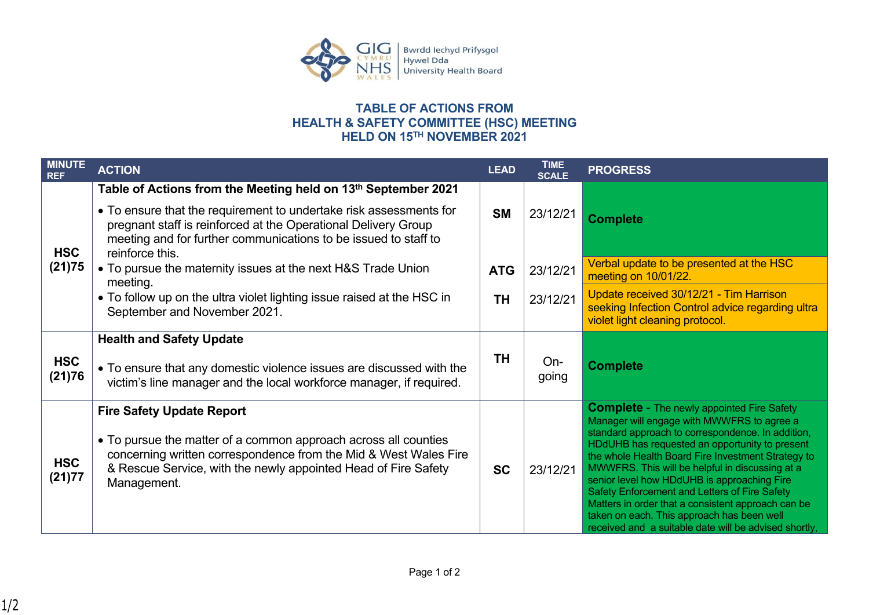

## **TABLE OF ACTIONS FROM HEALTH & SAFETY COMMITTEE (HSC) MEETING HELD ON 15TH NOVEMBER 2021**

| <b>MINUTE</b><br><b>REF</b> | <b>ACTION</b>                                                                                                                                                                                                              | <b>LEAD</b> | TIME<br><b>SCALE</b> | <b>PROGRESS</b>                                                                                                                                                                                                                                                                                                                                                                                                                                                           |
|-----------------------------|----------------------------------------------------------------------------------------------------------------------------------------------------------------------------------------------------------------------------|-------------|----------------------|---------------------------------------------------------------------------------------------------------------------------------------------------------------------------------------------------------------------------------------------------------------------------------------------------------------------------------------------------------------------------------------------------------------------------------------------------------------------------|
|                             | Table of Actions from the Meeting held on 13th September 2021                                                                                                                                                              |             |                      |                                                                                                                                                                                                                                                                                                                                                                                                                                                                           |
| <b>HSC</b><br>(21)75        | • To ensure that the requirement to undertake risk assessments for<br>pregnant staff is reinforced at the Operational Delivery Group<br>meeting and for further communications to be issued to staff to<br>reinforce this. | <b>SM</b>   | 23/12/21             | <b>Complete</b>                                                                                                                                                                                                                                                                                                                                                                                                                                                           |
|                             | • To pursue the maternity issues at the next H&S Trade Union<br>meeting.                                                                                                                                                   | <b>ATG</b>  | 23/12/21             | Verbal update to be presented at the HSC<br>meeting on 10/01/22.                                                                                                                                                                                                                                                                                                                                                                                                          |
|                             | • To follow up on the ultra violet lighting issue raised at the HSC in<br>September and November 2021.                                                                                                                     | <b>TH</b>   | 23/12/21             | Update received 30/12/21 - Tim Harrison<br>seeking Infection Control advice regarding ultra<br>violet light cleaning protocol.                                                                                                                                                                                                                                                                                                                                            |
|                             | <b>Health and Safety Update</b>                                                                                                                                                                                            |             |                      |                                                                                                                                                                                                                                                                                                                                                                                                                                                                           |
| <b>HSC</b><br>(21)76        | • To ensure that any domestic violence issues are discussed with the<br>victim's line manager and the local workforce manager, if required.                                                                                | <b>TH</b>   | On-<br>going         | <b>Complete</b>                                                                                                                                                                                                                                                                                                                                                                                                                                                           |
|                             | <b>Fire Safety Update Report</b>                                                                                                                                                                                           |             |                      | <b>Complete - The newly appointed Fire Safety</b><br>Manager will engage with MWWFRS to agree a                                                                                                                                                                                                                                                                                                                                                                           |
| <b>HSC</b><br>(21)77        | • To pursue the matter of a common approach across all counties<br>concerning written correspondence from the Mid & West Wales Fire<br>& Rescue Service, with the newly appointed Head of Fire Safety<br>Management.       | <b>SC</b>   | 23/12/21             | standard approach to correspondence. In addition,<br>HDdUHB has requested an opportunity to present<br>the whole Health Board Fire Investment Strategy to<br>MWWFRS. This will be helpful in discussing at a<br>senior level how HDdUHB is approaching Fire<br>Safety Enforcement and Letters of Fire Safety<br>Matters in order that a consistent approach can be<br>taken on each. This approach has been well<br>received and a suitable date will be advised shortly, |